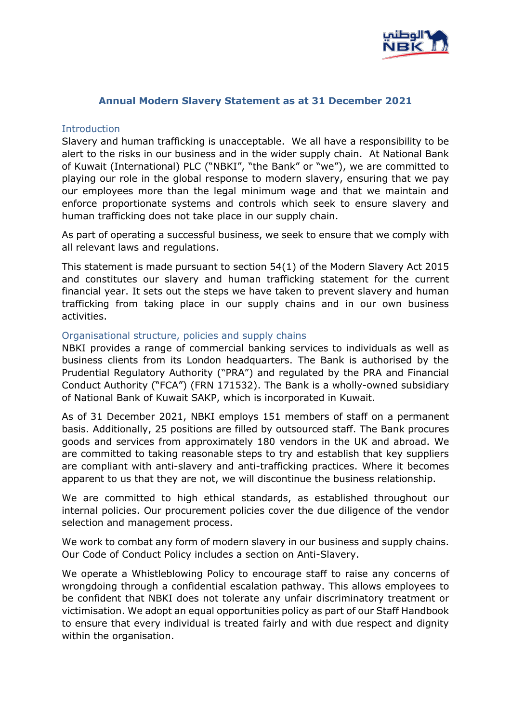

# **Annual Modern Slavery Statement as at 31 December 2021**

# **Introduction**

Slavery and human trafficking is unacceptable. We all have a responsibility to be alert to the risks in our business and in the wider supply chain. At National Bank of Kuwait (International) PLC ("NBKI", "the Bank" or "we"), we are committed to playing our role in the global response to modern slavery, ensuring that we pay our employees more than the legal minimum wage and that we maintain and enforce proportionate systems and controls which seek to ensure slavery and human trafficking does not take place in our supply chain.

As part of operating a successful business, we seek to ensure that we comply with all relevant laws and regulations.

This statement is made pursuant to section 54(1) of the Modern Slavery Act 2015 and constitutes our slavery and human trafficking statement for the current financial year. It sets out the steps we have taken to prevent slavery and human trafficking from taking place in our supply chains and in our own business activities.

# Organisational structure, policies and supply chains

NBKI provides a range of commercial banking services to individuals as well as business clients from its London headquarters. The Bank is authorised by the Prudential Regulatory Authority ("PRA") and regulated by the PRA and Financial Conduct Authority ("FCA") (FRN 171532). The Bank is a wholly-owned subsidiary of National Bank of Kuwait SAKP, which is incorporated in Kuwait.

As of 31 December 2021, NBKI employs 151 members of staff on a permanent basis. Additionally, 25 positions are filled by outsourced staff. The Bank procures goods and services from approximately 180 vendors in the UK and abroad. We are committed to taking reasonable steps to try and establish that key suppliers are compliant with anti-slavery and anti-trafficking practices. Where it becomes apparent to us that they are not, we will discontinue the business relationship.

We are committed to high ethical standards, as established throughout our internal policies. Our procurement policies cover the due diligence of the vendor selection and management process.

We work to combat any form of modern slavery in our business and supply chains. Our Code of Conduct Policy includes a section on Anti-Slavery.

We operate a Whistleblowing Policy to encourage staff to raise any concerns of wrongdoing through a confidential escalation pathway. This allows employees to be confident that NBKI does not tolerate any unfair discriminatory treatment or victimisation. We adopt an equal opportunities policy as part of our Staff Handbook to ensure that every individual is treated fairly and with due respect and dignity within the organisation.